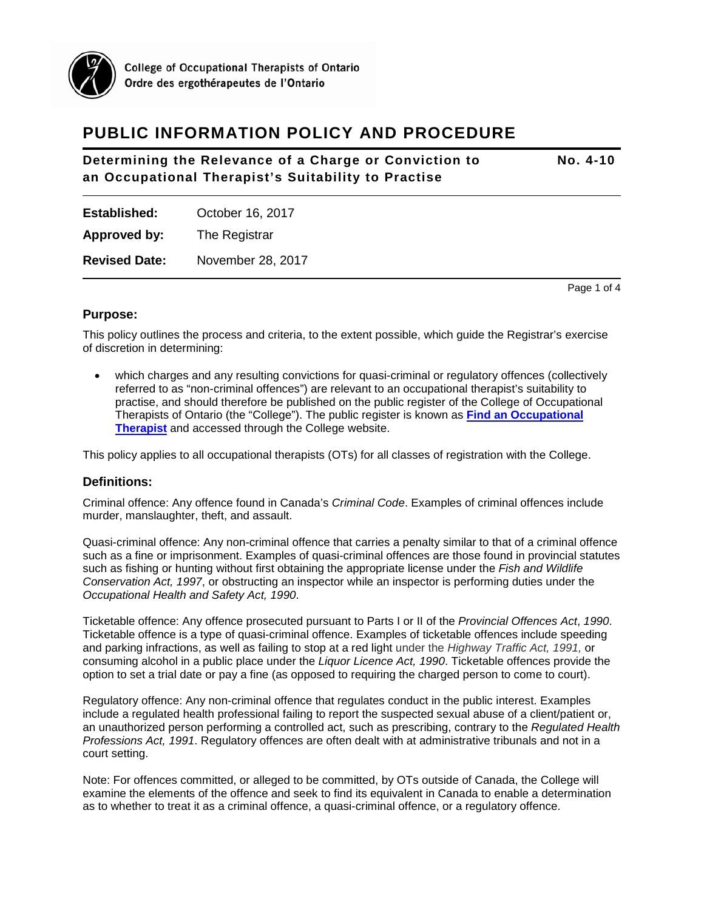

# **PUBLIC INFORMATION POLICY AND PROCEDURE**

## **Determining the Relevance of a Charge or Conviction to No. 4-10 an Occupational Therapist's Suitability to Practise**

**Established:** October 16, 2017

**Approved by:** The Registrar

**Revised Date:** November 28, 2017

Page 1 of 4

## **Purpose:**

This policy outlines the process and criteria, to the extent possible, which guide the Registrar's exercise of discretion in determining:

• which charges and any resulting convictions for quasi-criminal or regulatory offences (collectively referred to as "non-criminal offences") are relevant to an occupational therapist's suitability to practise, and should therefore be published on the public register of the College of Occupational Therapists of Ontario (the "College"). The public register is known as **[Find an Occupational](https://payments.coto.org/COTO/COTOWEB/DirectoryRD/COTOWEB/OT_Directory_RD/Directory.aspx)  [Therapist](https://payments.coto.org/COTO/COTOWEB/DirectoryRD/COTOWEB/OT_Directory_RD/Directory.aspx)** and accessed through the College website.

This policy applies to all occupational therapists (OTs) for all classes of registration with the College.

## **Definitions:**

Criminal offence: Any offence found in Canada's *Criminal Code*. Examples of criminal offences include murder, manslaughter, theft, and assault.

Quasi-criminal offence: Any non-criminal offence that carries a penalty similar to that of a criminal offence such as a fine or imprisonment. Examples of quasi-criminal offences are those found in provincial statutes such as fishing or hunting without first obtaining the appropriate license under the *Fish and Wildlife Conservation Act, 1997*, or obstructing an inspector while an inspector is performing duties under the *Occupational Health and Safety Act, 1990*.

Ticketable offence: Any offence prosecuted pursuant to Parts I or II of the *Provincial Offences Act*, *1990*. Ticketable offence is a type of quasi-criminal offence. Examples of ticketable offences include speeding and parking infractions, as well as failing to stop at a red light under the *Highway Traffic Act, 1991,* or consuming alcohol in a public place under the *Liquor Licence Act, 1990*. Ticketable offences provide the option to set a trial date or pay a fine (as opposed to requiring the charged person to come to court).

Regulatory offence: Any non-criminal offence that regulates conduct in the public interest. Examples include a regulated health professional failing to report the suspected sexual abuse of a client/patient or, an unauthorized person performing a controlled act, such as prescribing, contrary to the *Regulated Health Professions Act, 1991*. Regulatory offences are often dealt with at administrative tribunals and not in a court setting.

Note: For offences committed, or alleged to be committed, by OTs outside of Canada, the College will examine the elements of the offence and seek to find its equivalent in Canada to enable a determination as to whether to treat it as a criminal offence, a quasi-criminal offence, or a regulatory offence.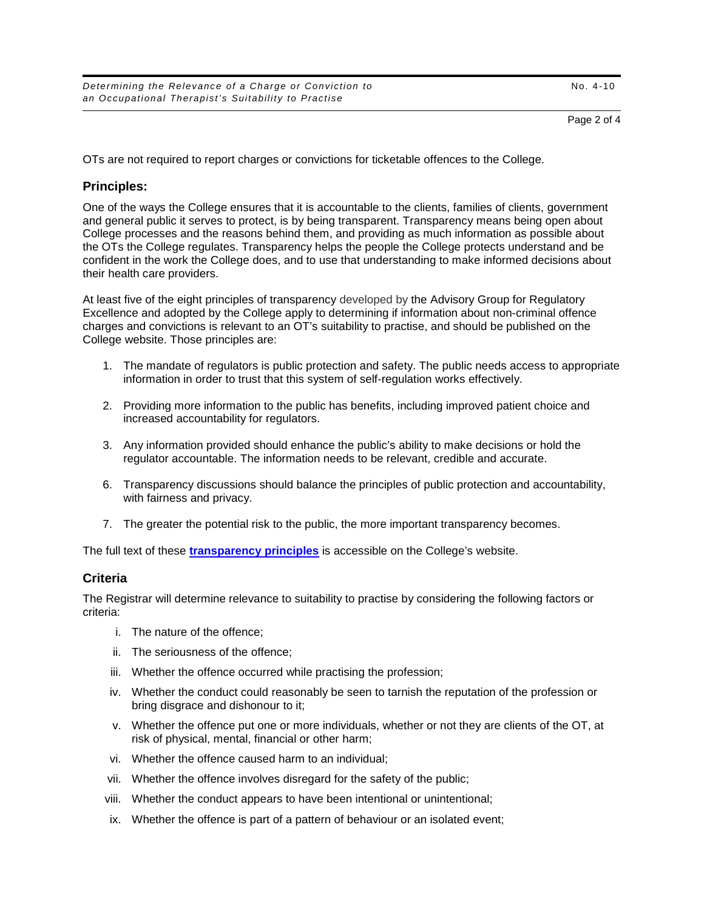OTs are not required to report charges or convictions for ticketable offences to the College.

## **Principles:**

One of the ways the College ensures that it is accountable to the clients, families of clients, government and general public it serves to protect, is by being transparent. Transparency means being open about College processes and the reasons behind them, and providing as much information as possible about the OTs the College regulates. Transparency helps the people the College protects understand and be confident in the work the College does, and to use that understanding to make informed decisions about their health care providers.

At least five of the eight principles of transparency developed by the Advisory Group for Regulatory Excellence and adopted by the College apply to determining if information about non-criminal offence charges and convictions is relevant to an OT's suitability to practise, and should be published on the College website. Those principles are:

- 1. The mandate of regulators is public protection and safety. The public needs access to appropriate information in order to trust that this system of self-regulation works effectively.
- 2. Providing more information to the public has benefits, including improved patient choice and increased accountability for regulators.
- 3. Any information provided should enhance the public's ability to make decisions or hold the regulator accountable. The information needs to be relevant, credible and accurate.
- 6. Transparency discussions should balance the principles of public protection and accountability, with fairness and privacy.
- 7. The greater the potential risk to the public, the more important transparency becomes.

The full text of these **[transparency principles](https://www.coto.org/about/transparency#eight)** is accessible on the College's website.

## **Criteria**

The Registrar will determine relevance to suitability to practise by considering the following factors or criteria:

- i. The nature of the offence;
- ii. The seriousness of the offence;
- iii. Whether the offence occurred while practising the profession;
- iv. Whether the conduct could reasonably be seen to tarnish the reputation of the profession or bring disgrace and dishonour to it;
- v. Whether the offence put one or more individuals, whether or not they are clients of the OT, at risk of physical, mental, financial or other harm;
- vi. Whether the offence caused harm to an individual;
- vii. Whether the offence involves disregard for the safety of the public;
- viii. Whether the conduct appears to have been intentional or unintentional;
- ix. Whether the offence is part of a pattern of behaviour or an isolated event;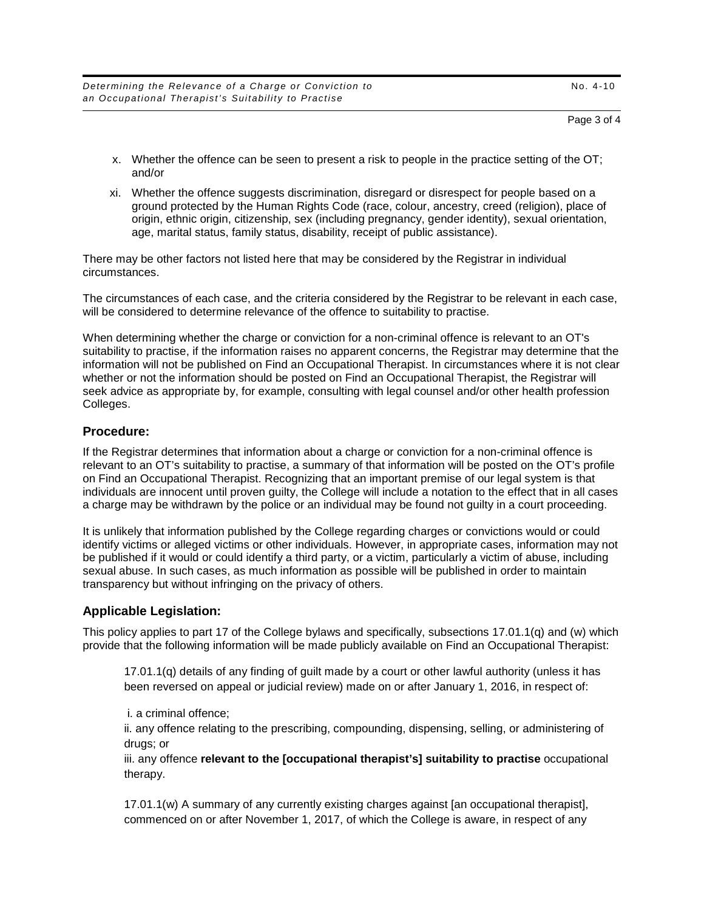*Determining the Relevance of a Charge or Conviction to* No. 4-10 *an Occupational Therapist's Suitability to Practise*

#### Page 3 of 4

- x. Whether the offence can be seen to present a risk to people in the practice setting of the OT; and/or
- xi. Whether the offence suggests discrimination, disregard or disrespect for people based on a ground protected by the Human Rights Code (race, colour, ancestry, creed (religion), place of origin, ethnic origin, citizenship, sex (including pregnancy, gender identity), sexual orientation, age, marital status, family status, disability, receipt of public assistance).

There may be other factors not listed here that may be considered by the Registrar in individual circumstances.

The circumstances of each case, and the criteria considered by the Registrar to be relevant in each case, will be considered to determine relevance of the offence to suitability to practise.

When determining whether the charge or conviction for a non-criminal offence is relevant to an OT's suitability to practise, if the information raises no apparent concerns, the Registrar may determine that the information will not be published on Find an Occupational Therapist. In circumstances where it is not clear whether or not the information should be posted on Find an Occupational Therapist, the Registrar will seek advice as appropriate by, for example, consulting with legal counsel and/or other health profession Colleges.

#### **Procedure:**

If the Registrar determines that information about a charge or conviction for a non-criminal offence is relevant to an OT's suitability to practise, a summary of that information will be posted on the OT's profile on Find an Occupational Therapist. Recognizing that an important premise of our legal system is that individuals are innocent until proven guilty, the College will include a notation to the effect that in all cases a charge may be withdrawn by the police or an individual may be found not guilty in a court proceeding.

It is unlikely that information published by the College regarding charges or convictions would or could identify victims or alleged victims or other individuals. However, in appropriate cases, information may not be published if it would or could identify a third party, or a victim, particularly a victim of abuse, including sexual abuse. In such cases, as much information as possible will be published in order to maintain transparency but without infringing on the privacy of others.

#### **Applicable Legislation:**

This policy applies to part 17 of the College bylaws and specifically, subsections 17.01.1(q) and (w) which provide that the following information will be made publicly available on Find an Occupational Therapist:

17.01.1(q) details of any finding of guilt made by a court or other lawful authority (unless it has been reversed on appeal or judicial review) made on or after January 1, 2016, in respect of:

i. a criminal offence;

ii. any offence relating to the prescribing, compounding, dispensing, selling, or administering of drugs; or

iii. any offence **relevant to the [occupational therapist's] suitability to practise** occupational therapy.

17.01.1(w) A summary of any currently existing charges against [an occupational therapist], commenced on or after November 1, 2017, of which the College is aware, in respect of any